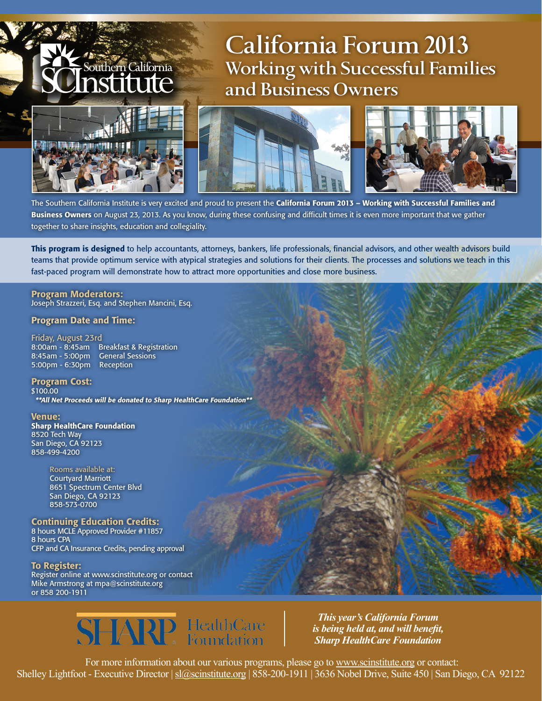## **California Forum 2013 Working with Successful Families and Business Owners**



Southern California stitute





The Southern California Institute is very excited and proud to present the California Forum 2013 – Working with Successful Families and Business Owners on August 23, 2013. As you know, during these confusing and difficult times it is even more important that we gather together to share insights, education and collegiality.

This program is designed to help accountants, attorneys, bankers, life professionals, financial advisors, and other wealth advisors build teams that provide optimum service with atypical strategies and solutions for their clients. The processes and solutions we teach in this fast-paced program will demonstrate how to attract more opportunities and close more business.

#### Program Moderators: Joseph Strazzeri, Esq. and Stephen Mancini, Esq.

### Program Date and Time:

Friday, August 23rd 8:00am - 8:45am Breakfast & Registration 8:45am - 5:00pm General Sessions 5:00pm - 6:30pm Reception

#### Program Cost: \$100.00

\*\*All Net Proceeds will be donated to Sharp HealthCare Foundation\*\*

Venue: Sharp HealthCare Foundation 8520 Tech Way San Diego, CA 92123 858-499-4200

> Rooms available at: Courtyard Marriott 8651 Spectrum Center Blvd San Diego, CA 92123 858-573-0700

Continuing Education Credits: 8 hours MCLE Approved Provider #11857 8 hours CPA CFP and CA Insurance Credits, pending approval

To Register: Register online at www.scinstitute.org or contact Mike Armstrong at mpa@scinstitute.org or 858 200-1911



*This year's California Forum is being held at, and will benefit, Sharp HealthCare Foundation*

 For more information about our various programs, please go to www.scinstitute.org or contact: Shelley Lightfoot - Executive Director | sl@scinstitute.org | 858-200-1911 | 3636 Nobel Drive, Suite 450 | San Diego, CA 92122